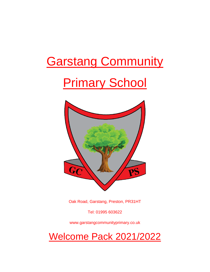# **Garstang Community**

# **Primary School**



Oak Road, Garstang, Preston, PR31HT

Tel: 01995 603622

www.garstangcommunityprimary.co.uk

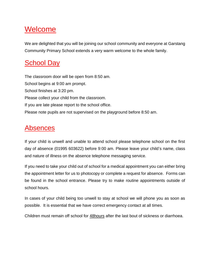## Welcome

We are delighted that you will be joining our school community and everyone at Garstang Community Primary School extends a very warm welcome to the whole family.

### **School Day**

The classroom door will be open from 8:50 am. School begins at 9:00 am prompt. School finishes at 3:20 pm. Please collect your child from the classroom. If you are late please report to the school office. Please note pupils are not supervised on the playground before 8:50 am.

### **Absences**

If your child is unwell and unable to attend school please telephone school on the first day of absence (01995 603622) before 9:00 am. Please leave your child's name, class and nature of illness on the absence telephone messaging service.

If you need to take your child out of school for a medical appointment you can either bring the appointment letter for us to photocopy or complete a request for absence. Forms can be found in the school entrance. Please try to make routine appointments outside of school hours.

In cases of your child being too unwell to stay at school we will phone you as soon as possible. It is essential that we have correct emergency contact at all times.

Children must remain off school for 48hours after the last bout of sickness or diarrhoea.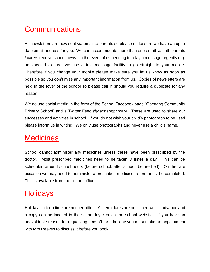# **Communications**

All newsletters are now sent via email to parents so please make sure we have an up to date email address for you. We can accommodate more than one email so both parents / carers receive school news. In the event of us needing to relay a message urgently e.g. unexpected closure, we use a text message facility to go straight to your mobile. Therefore if you change your mobile please make sure you let us know as soon as possible so you don't miss any important information from us. Copies of newsletters are held in the foyer of the school so please call in should you require a duplicate for any reason.

We do use social media in the form of the School Facebook page "Garstang Community Primary School" and a Twitter Feed @garstangprimary. These are used to share our successes and activities in school. If you do not wish your child's photograph to be used please inform us in writing. We only use photographs and never use a child's name.

### **Medicines**

School cannot administer any medicines unless these have been prescribed by the doctor. Most prescribed medicines need to be taken 3 times a day. This can be scheduled around school hours (before school, after school, before bed). On the rare occasion we may need to administer a prescribed medicine, a form must be completed. This is available from the school office.

# **Holidays**

Holidays in term time are not permitted. All term dates are published well in advance and a copy can be located in the school foyer or on the school website. If you have an unavoidable reason for requesting time off for a holiday you must make an appointment with Mrs Reeves to discuss it before you book.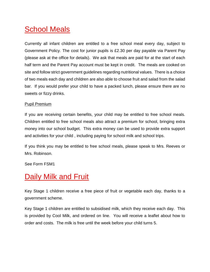## **School Meals**

Currently all infant children are entitled to a free school meal every day, subject to Government Policy. The cost for junior pupils is £2.30 per day payable via Parent Pay (please ask at the office for details). We ask that meals are paid for at the start of each half term and the Parent Pay account must be kept in credit. The meals are cooked on site and follow strict government guidelines regarding nutritional values. There is a choice of two meals each day and children are also able to choose fruit and salad from the salad bar. If you would prefer your child to have a packed lunch, please ensure there are no sweets or fizzy drinks.

#### Pupil Premium

If you are receiving certain benefits, your child may be entitled to free school meals. Children entitled to free school meals also attract a premium for school, bringing extra money into our school budget. This extra money can be used to provide extra support and activities for your child , including paying for school milk and school trips.

If you think you may be entitled to free school meals, please speak to Mrs. Reeves or Mrs. Robinson.

See Form FSM1

### Daily Milk and Fruit

Key Stage 1 children receive a free piece of fruit or vegetable each day, thanks to a government scheme.

Key Stage 1 children are entitled to subsidised milk, which they receive each day. This is provided by Cool Milk, and ordered on line. You will receive a leaflet about how to order and costs. The milk is free until the week before your child turns 5.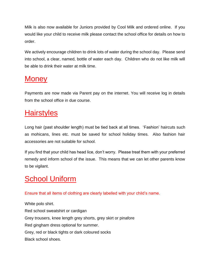Milk is also now available for Juniors provided by Cool Milk and ordered online. If you would like your child to receive milk please contact the school office for details on how to order.

We actively encourage children to drink lots of water during the school day. Please send into school, a clear, named, bottle of water each day. Children who do not like milk will be able to drink their water at milk time.

### **Money**

Payments are now made via Parent pay on the internet. You will receive log in details from the school office in due course.

# **Hairstyles**

Long hair (past shoulder length) must be tied back at all times. 'Fashion' haircuts such as mohicans, lines etc. must be saved for school holiday times. Also fashion hair accessories are not suitable for school.

If you find that your child has head lice, don't worry. Please treat them with your preferred remedy and inform school of the issue. This means that we can let other parents know to be vigilant.

# **School Uniform**

Ensure that all items of clothing are clearly labelled with your child's name.

White polo shirt. Red school sweatshirt or cardigan Grey trousers, knee length grey shorts, grey skirt or pinafore Red gingham dress optional for summer. Grey, red or black tights or dark coloured socks Black school shoes.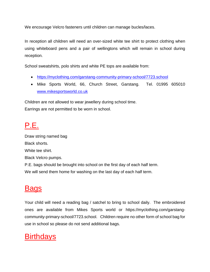We encourage Velcro fasteners until children can manage bucles/laces.

In reception all children will need an over-sized white tee shirt to protect clothing when using whiteboard pens and a pair of wellingtons which will remain in school during reception.

School sweatshirts, polo shirts and white PE tops are available from:

- <https://myclothing.com/garstang-community-primary-school/7723.school>
- Mike Sports World, 66, Church Street, Garstang. Tel. 01995 605010 [www.mikesportsworld.co.uk](http://www.mikesportsworld.co.uk/)

Children are not allowed to wear jewellery during school time. Earrings are not permitted to be worn in school.

# P.E.

Draw string named bag Black shorts. White tee shirt. Black Velcro pumps. P.E. bags should be brought into school on the first day of each half term. We will send them home for washing on the last day of each half term.

### **Bags**

Your child will need a reading bag / satchel to bring to school daily. The embroidered ones are available from Mikes Sports world or https://myclothing.com/garstangcommunity-primary-school/7723.school. Children require no other form of school bag for use in school so please do not send additional bags.

### **Birthdays**